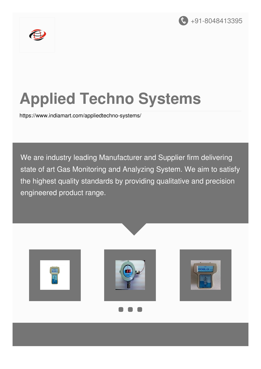



# **Applied Techno Systems**

<https://www.indiamart.com/appliedtechno-systems/>

We are industry leading Manufacturer and Supplier firm delivering state of art Gas Monitoring and Analyzing System. We aim to satisfy the highest quality standards by providing qualitative and precision engineered product range.

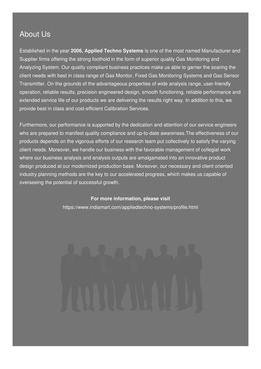#### About Us

Established in the year **2006, Applied Techno Systems** is one of the most named Manufacturer and Supplier firms offering the strong foothold in the form of superior quality Gas Monitoring and Analyzing System. Our quality compliant business practices make us able to garner the soaring the client needs with best in class range of Gas Monitor, Fixed Gas Monitoring Systems and Gas Sensor Transmitter. On the grounds of the advantageous properties of wide analysis range, user-friendly operation, reliable results, precision engineered design, smooth functioning, reliable performance and extended service life of our products we are delivering the results right way. In addition to this, we provide best in class and cost-efficient Calibration Services.

Furthermore, our performance is supported by the dedication and attention of our service engineers who are prepared to manifest quality compliance and up-to-date awareness.The effectiveness of our products depends on the vigorous efforts of our research team put collectively to satisfy the varying client needs. Moreover, we handle our business with the favorable management of collegial work where our business analysis and analysis outputs are amalgamated into an innovative product design produced at our modernized production base. Moreover, our necessary and client oriented industry planning methods are the key to our accelerated progress, which makes us capable of overseeing the potential of successful growth.

#### **For more information, please visit**

<https://www.indiamart.com/appliedtechno-systems/profile.html>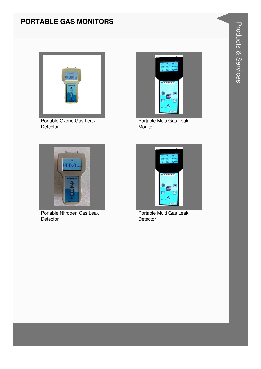#### PORTABLE GAS MONITORS



Portable Ozone Gas Leak Detector



Portable Nitrogen Gas Leak Detector



Portable Multi Gas Leak Monitor



Portable Multi Gas Leak Detector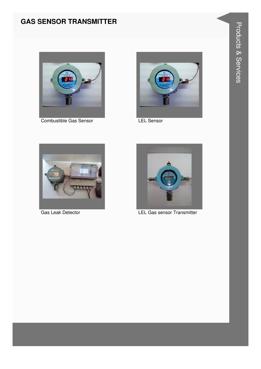#### **GAS SENSOR TRANSMITTER**



Combustible Gas Sensor



**LEL Sensor** 



Gas Leak Detector



**LEL Gas sensor Transmitter**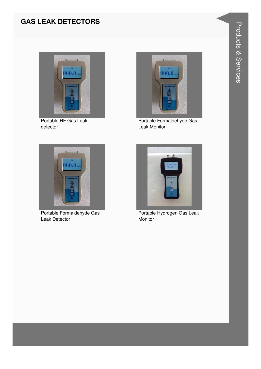#### **GAS LEAK DETECTORS**



Portable HF Gas Leak detector



Portable Formaldehyde Gas Leak Monitor



Portable Formaldehyde Gas Leak Detector



Portable Hydrogen Gas Leak Monitor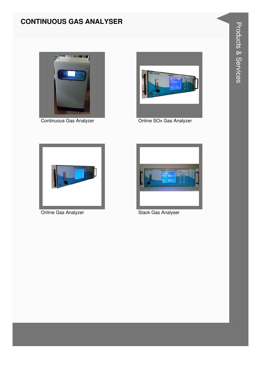### **CONTINUOUS GAS ANALYSER**



Continuous Gas Analyzer



Online SOx Gas Analyzer



**Online Gas Analyzer** 



**Stack Gas Analyser**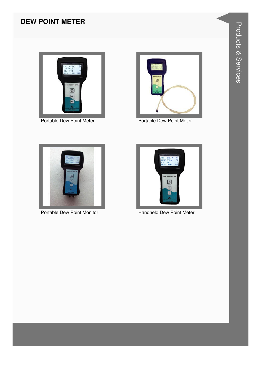#### **DEW POINT METER**





Portable Dew Point Meter **Portable Dew Point Meter** Portable Dew Point Meter





Portable Dew Point Monitor **Handheld Dew Point Meter**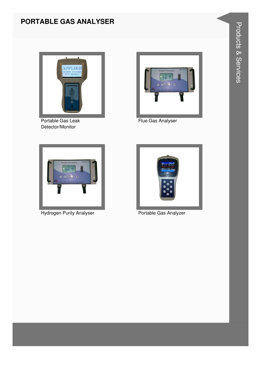#### **PORTABLE GAS ANALYSER**



Portable Gas Leak Detector/Monitor



Flue Gas Analyser



**Hydrogen Purity Analyser** 



Portable Gas Analyzer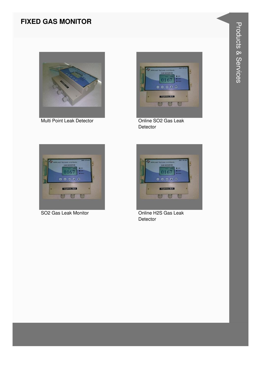#### **FIXED GAS MONITOR**



Multi Point Leak Detector



Online SO<sub>2</sub> Gas Leak Detector



SO2 Gas Leak Monitor



Online H2S Gas Leak Detector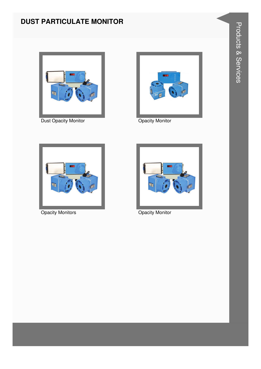#### **DUST PARTICULATE MONITOR**



**Dust Opacity Monitor** 



**Opacity Monitor** 



**Opacity Monitors** 



**Opacity Monitor**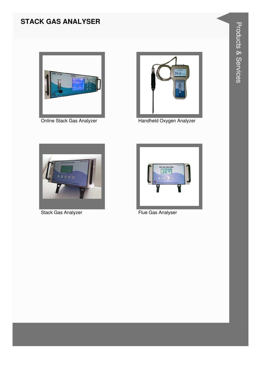#### **STACK GAS ANALYSER**



Online Stack Gas Analyzer



Handheld Oxygen Analyzer



**Stack Gas Analyzer** 



Flue Gas Analyser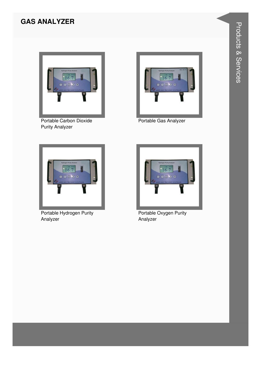#### **GAS ANALYZER**



Portable Carbon Dioxide **Purity Analyzer** 



Portable Gas Analyzer



Portable Hydrogen Purity Analyzer



Portable Oxygen Purity Analyzer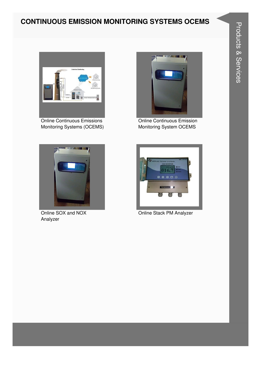#### **CONTINUOUS EMISSION MONITORING SYSTEMS OCEMS**



Online Continuous Emissions Monitoring Systems (OCEMS)



Online Continuous Emission Monitoring System OCEMS



Online SOX and NOX Analyzer



Online Stack PM Analyzer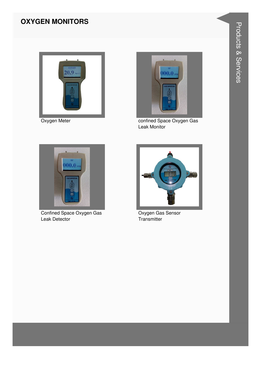#### **OXYGEN MONITORS**



Oxygen Meter



confined Space Oxygen Gas Leak Monitor



Confined Space Oxygen Gas Leak Detector



Oxygen Gas Sensor Transmitter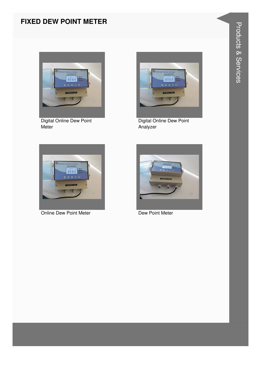#### **FIXED DEW POINT METER**



Digital Online Dew Point Meter



Digital Online Dew Point Analyzer



**Online Dew Point Meter** 



**Dew Point Meter**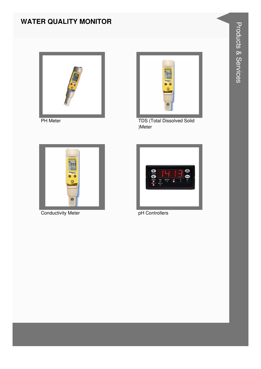#### **WATER QUALITY MONITOR**





PH Meter TDS (Total Dissolved Solid )Meter



**Conductivity Meter pH Controllers** 

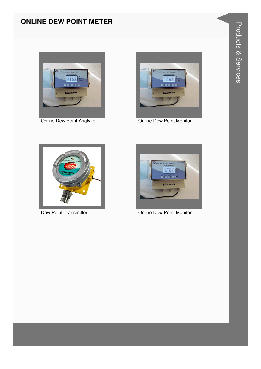#### **ONLINE DEW POINT METER**





Online Dew Point Analyzer **Online Dew Point Monitor** 





Dew Point Transmitter **Dew Point Monitor** Online Dew Point Monitor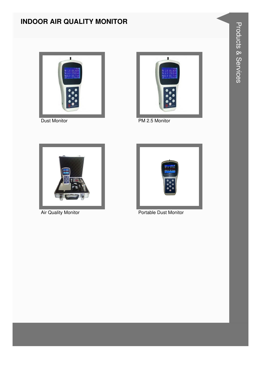#### **INDOOR AIR QUALITY MONITOR**





Dust Monitor PM 2.5 Monitor





Air Quality Monitor **Portable Dust Monitor** Portable Dust Monitor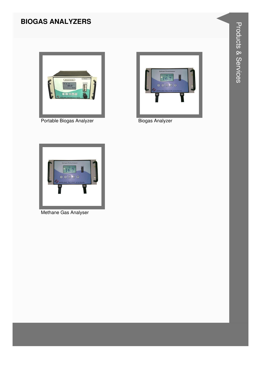#### **BIOGAS ANALYZERS**



Portable Biogas Analyzer



**Biogas Analyzer** 



Methane Gas Analyser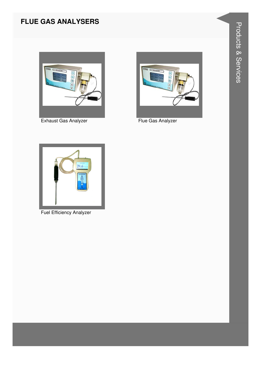#### **FLUE GAS ANALYSERS**



Exhaust Gas Analyzer



Flue Gas Analyzer



**Fuel Efficiency Analyzer**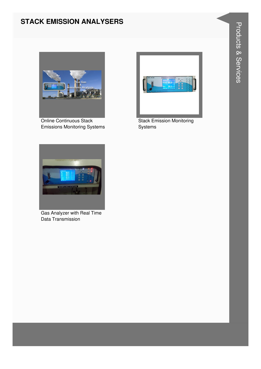#### **STACK EMISSION ANALYSERS**



Online Continuous Stack Emissions Monitoring Systems



Stack Emission Monitoring Systems



Gas Analyzer with Real Time Data Transmission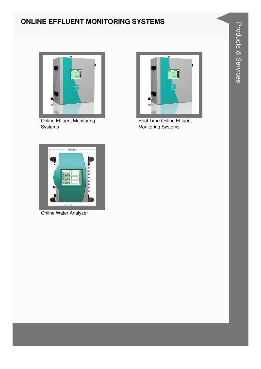#### **ONLINE EFFLUENT MONITORING SYSTEMS**



Real Time Online Effluent **Monitoring Systems** 



**Online Effluent Monitoring** Systems



Online Water Analyzer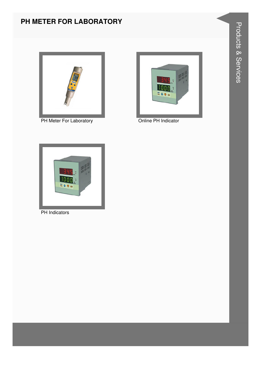#### **PH METER FOR LABORATORY**



PH Meter For Laboratory **CONLINE CONLINE PH Indicator** 





PH Indicators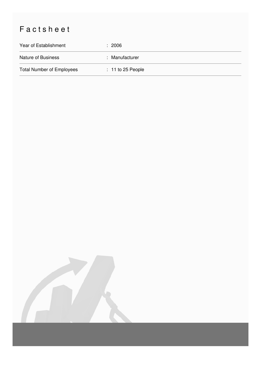## Factsheet

| Year of Establishment            | : 2006              |
|----------------------------------|---------------------|
| <b>Nature of Business</b>        | : Manufacturer      |
| <b>Total Number of Employees</b> | $: 11$ to 25 People |